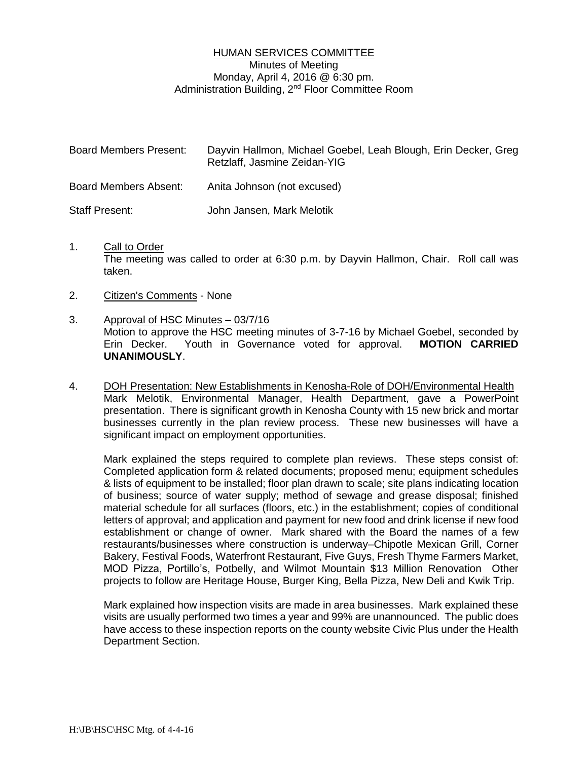## HUMAN SERVICES COMMITTEE Minutes of Meeting Monday, April 4, 2016 @ 6:30 pm. Administration Building, 2nd Floor Committee Room

| <b>Board Members Present:</b> | Dayvin Hallmon, Michael Goebel, Leah Blough, Erin Decker, Greg<br>Retzlaff, Jasmine Zeidan-YIG |
|-------------------------------|------------------------------------------------------------------------------------------------|
| <b>Board Members Absent:</b>  | Anita Johnson (not excused)                                                                    |
| <b>Staff Present:</b>         | John Jansen, Mark Melotik                                                                      |

- 1. Call to Order The meeting was called to order at 6:30 p.m. by Dayvin Hallmon, Chair. Roll call was taken.
- 2. Citizen's Comments None
- 3. Approval of HSC Minutes 03/7/16 Motion to approve the HSC meeting minutes of 3-7-16 by Michael Goebel, seconded by Erin Decker. Youth in Governance voted for approval. **MOTION CARRIED UNANIMOUSLY**.
- 4. DOH Presentation: New Establishments in Kenosha-Role of DOH/Environmental Health Mark Melotik, Environmental Manager, Health Department, gave a PowerPoint presentation. There is significant growth in Kenosha County with 15 new brick and mortar businesses currently in the plan review process. These new businesses will have a significant impact on employment opportunities.

Mark explained the steps required to complete plan reviews. These steps consist of: Completed application form & related documents; proposed menu; equipment schedules & lists of equipment to be installed; floor plan drawn to scale; site plans indicating location of business; source of water supply; method of sewage and grease disposal; finished material schedule for all surfaces (floors, etc.) in the establishment; copies of conditional letters of approval; and application and payment for new food and drink license if new food establishment or change of owner. Mark shared with the Board the names of a few restaurants/businesses where construction is underway–Chipotle Mexican Grill, Corner Bakery, Festival Foods, Waterfront Restaurant, Five Guys, Fresh Thyme Farmers Market, MOD Pizza, Portillo's, Potbelly, and Wilmot Mountain \$13 Million Renovation Other projects to follow are Heritage House, Burger King, Bella Pizza, New Deli and Kwik Trip.

Mark explained how inspection visits are made in area businesses. Mark explained these visits are usually performed two times a year and 99% are unannounced. The public does have access to these inspection reports on the county website Civic Plus under the Health Department Section.